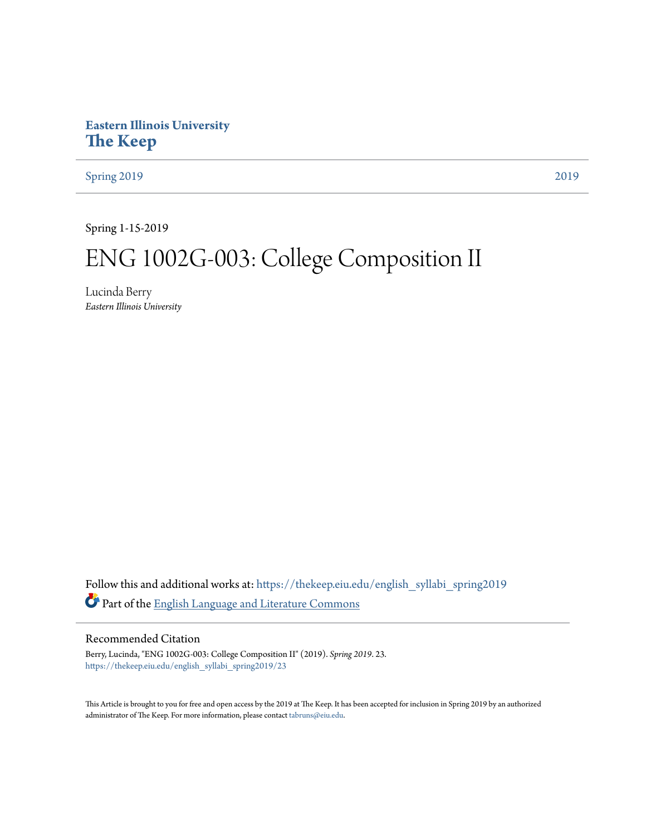# **Eastern Illinois University [The Keep](https://thekeep.eiu.edu?utm_source=thekeep.eiu.edu%2Fenglish_syllabi_spring2019%2F23&utm_medium=PDF&utm_campaign=PDFCoverPages)**

[Spring 2019](https://thekeep.eiu.edu/english_syllabi_spring2019?utm_source=thekeep.eiu.edu%2Fenglish_syllabi_spring2019%2F23&utm_medium=PDF&utm_campaign=PDFCoverPages) [2019](https://thekeep.eiu.edu/english_syllabi2019?utm_source=thekeep.eiu.edu%2Fenglish_syllabi_spring2019%2F23&utm_medium=PDF&utm_campaign=PDFCoverPages)

Spring 1-15-2019

# ENG 1002G-003: College Composition II

Lucinda Berry *Eastern Illinois University*

Follow this and additional works at: [https://thekeep.eiu.edu/english\\_syllabi\\_spring2019](https://thekeep.eiu.edu/english_syllabi_spring2019?utm_source=thekeep.eiu.edu%2Fenglish_syllabi_spring2019%2F23&utm_medium=PDF&utm_campaign=PDFCoverPages) Part of the [English Language and Literature Commons](http://network.bepress.com/hgg/discipline/455?utm_source=thekeep.eiu.edu%2Fenglish_syllabi_spring2019%2F23&utm_medium=PDF&utm_campaign=PDFCoverPages)

#### Recommended Citation

Berry, Lucinda, "ENG 1002G-003: College Composition II" (2019). *Spring 2019*. 23. [https://thekeep.eiu.edu/english\\_syllabi\\_spring2019/23](https://thekeep.eiu.edu/english_syllabi_spring2019/23?utm_source=thekeep.eiu.edu%2Fenglish_syllabi_spring2019%2F23&utm_medium=PDF&utm_campaign=PDFCoverPages)

This Article is brought to you for free and open access by the 2019 at The Keep. It has been accepted for inclusion in Spring 2019 by an authorized administrator of The Keep. For more information, please contact [tabruns@eiu.edu.](mailto:tabruns@eiu.edu)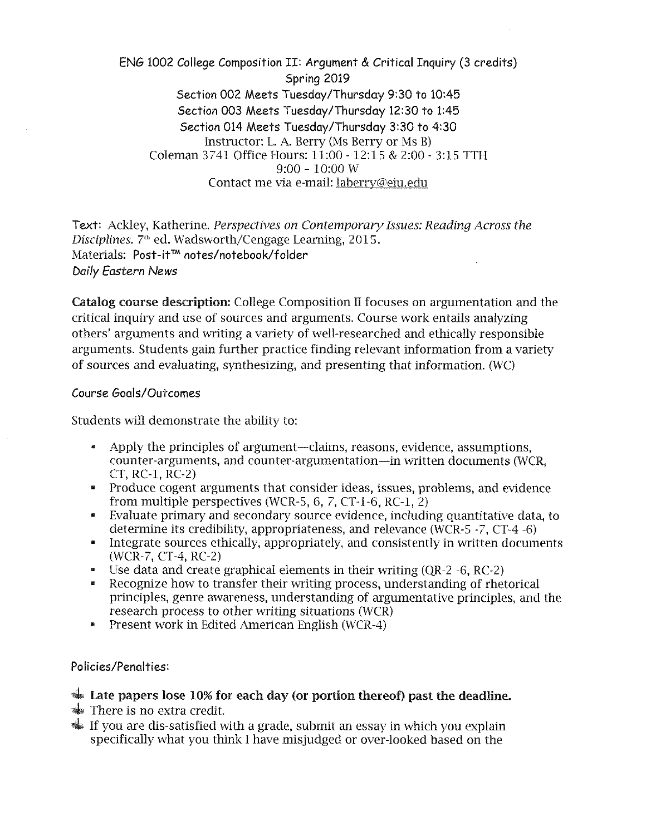ENG 1002 College Composition II: Argument & Critical Inquiry (3 credits) Spring 2019 Section 002 Meets Tuesday/Thursday 9:30 to 10:45 Section 003 Meets Tuesday/Thursday 12:30 to 1:45 Section 014 Meets Tuesday/Thursday 3:30 to 4:30 Instructor: L. A. Berry (Ms Berry or Ms B) Coleman 3741 Office Hours: 11:00 - 12:15 & 2:00- 3:15 TTH 9:00 - 10:00 w Contact me via e-mail: laberry@eiu.edu

Text: Ackley, Katherine. *Perspectives on Contemporary Issues: Reading Across the Disciplines.* 7'h ed. Wadsworth/Cengage Learning, 2015. Materials: Post-it™ notes/notebook/folder Daily *Eastern News* 

Catalog course description: College Composition II focuses on argumentation and the critical inquiry and use of sources and arguments. Course work entails analyzing others' arguments and writing a variety of well-researched and ethically responsible arguments. Students gain further practice finding relevant information from a variety of sources and evaluating, synthesizing, and presenting that information. (WC)

#### Course Goals/Outcomes

Students will demonstrate the ability to:

- Apply the principles of argument-claims, reasons, evidence, assumptions, counter-arguments, and counter-argumentation-in written documents (WCR, CT, RC-1, RC-2)
- Produce cogent arguments that consider ideas, issues, problems, and evidence from multiple perspectives (WCR-5, 6, 7, CT-1-6, RC-1, 2)
- Evaluate primary and secondary source evidence, including quantitative data, to determine its credibility, appropriateness, and relevance (WCR-5 -7, CT-4 -6)
- Integrate sources ethically, appropriately, and consistently in written documents (WCR-7, CT-4, RC-2)
- Use data and create graphical elements in their writing (QR-2 -6, RC-2)
- Recognize how to transfer their writing process, understanding of rhetorical principles, genre awareness, understanding of argumentative principles, and the research process to other writing situations (WCR)
- Present work in Edited American English (WCR-4)

Policies/Penalties:

- $\triangleq$  Late papers lose 10% for each day (or portion thereof) past the deadline.
- $\frac{1}{2}$  There is no extra credit.
- ~ If you are dis-satisfied with a grade, submit an essay in which you explain specifically what you think I have misjudged or over-looked based on the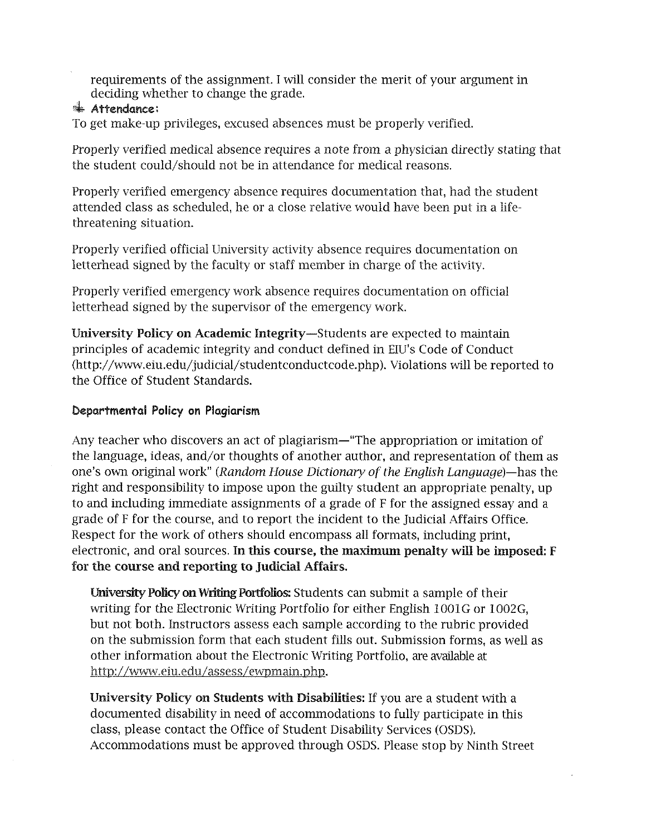requirements of the assignment. I will consider the merit of your argument in deciding whether to change the grade.

#### $*$  Attendance:

To get make-up privileges, excused absences must be properly verified.

Properly verified medical absence requires a note from a physician directly stating that the student could/should not be in attendance for medical reasons.

Properly verified emergency absence requires documentation that, had the student attended class as scheduled, he or a close relative would have been put in a lifethreatening situation.

Properly verified official University activity absence requires documentation on letterhead signed by the faculty or staff member in charge of the activity.

Properly verified emergency work absence requires documentation on official letterhead signed by the supervisor of the emergency work.

University Policy on Academic Integrity-Students are expected to maintain principles of academic integrity and conduct defined in EIU's Code of Conduct (http://www.eiu.edu/judicial/studentconductcode.php). Violations will be reported to the Office of Student Standards.

## Departmental Policy on Plagiarism

Any teacher who discovers an act of plagiarism—"The appropriation or imitation of the language, ideas, and/or thoughts of another author, and representation of them as one's own original work" *(Random House Dictionary of the English Language)-has* the right and responsibility to impose upon the guilty student an appropriate penalty, up to and including immediate assignments of a grade of F for the assigned essay and a grade of F for the course, and to report the incident to the Judicial Affairs Office. Respect for the work of others should encompass all formats, including print, electronic, and oral sources. In this course, the maximum penalty will be imposed: F for the course and reporting to Judicial Affairs.

University Policy on Writing Portfolios: Students can submit a sample of their writing for the Electronic Writing Portfolio for either English 1001G or 1002G, but not both. Instructors assess each sample according to the rubric provided on the submission form that each student fills out. Submission forms, as well as other information about the Electronic Writing Portfolio, are available at http://www.eiu.edu/assess/ewpmain.php.

University Policy on Students with Disabilities: If you are a student with a documented disability in need of accommodations to fully participate in this class, please contact the Office of Student Disability Services (OSDS). Accommodations must be approved through OSDS. Please stop by Ninth Street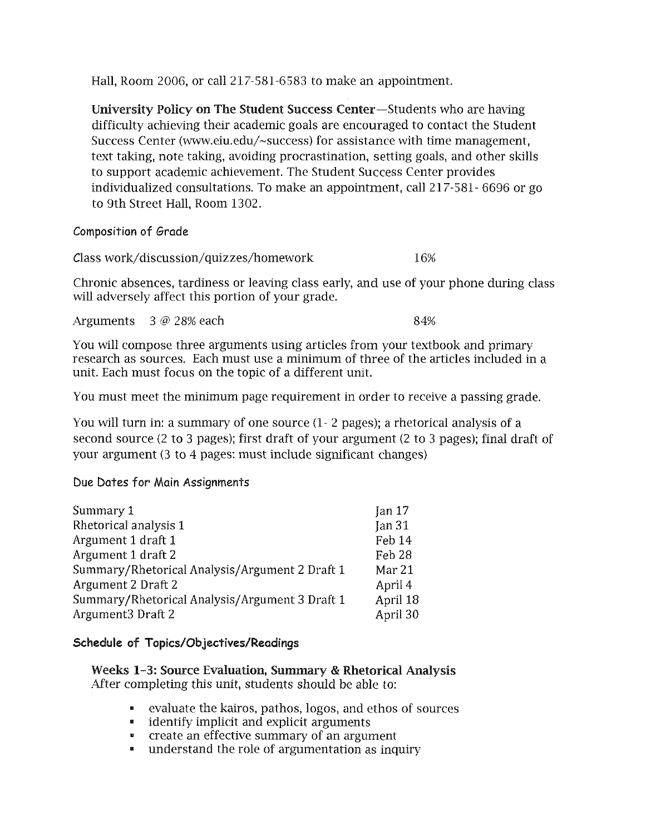Hall, Room 2006, or call 217-581-6583 to make an appointment.

University Policy on The Student Success Center-Students who are having difficulty achieving their academic goals are encouraged to contact the Student Success Center (www.eiu.edu/-success) for assistance with time management, text taking, note taking, avoiding procrastination, setting goals, and other skills to support academic achievement. The Student Success Center provides individualized consultations. To make an appointment, call 217-581- 6696 or go to 9th Street Hall, Room 1302.

Composition of Grade

Class work/discussion/quizzes/homework 16%

Chronic absences, tardiness or leaving class early, and use of your phone during class will adversely affect this portion of your grade.

Arguments 3 @ 28% each 84%

You will compose three arguments using articles from your textbook and primary research as sources. Each must use a minimum of three of the articles included in a unit. Each must focus on the topic of a different unit.

You must meet the minimum page requirement in order to receive a passing grade.

You will turn in: a summary of one source (1- 2 pages); a rhetorical analysis of a second source (2 to 3 pages); first draft of your argument (2 to 3 pages); final draft of your argument (3 to 4 pages: must include significant changes)

## Due Dates for Main Assignments

| Feb 14            |
|-------------------|
| Feb <sub>28</sub> |
| Mar 21            |
| April 4           |
| April 18          |
| April 30          |
|                   |

#### Schedule of Topics/Objectives/Readings

Weeks 1-3: Source Evaluation, Summary & Rhetorical Analysis After completing this unit, students should be able to:

- evaluate the kairos, pathos, logos, and ethos of sources
- identify implicit and explicit arguments
- create an effective summary of an argument
- understand the role of argumentation as inquiry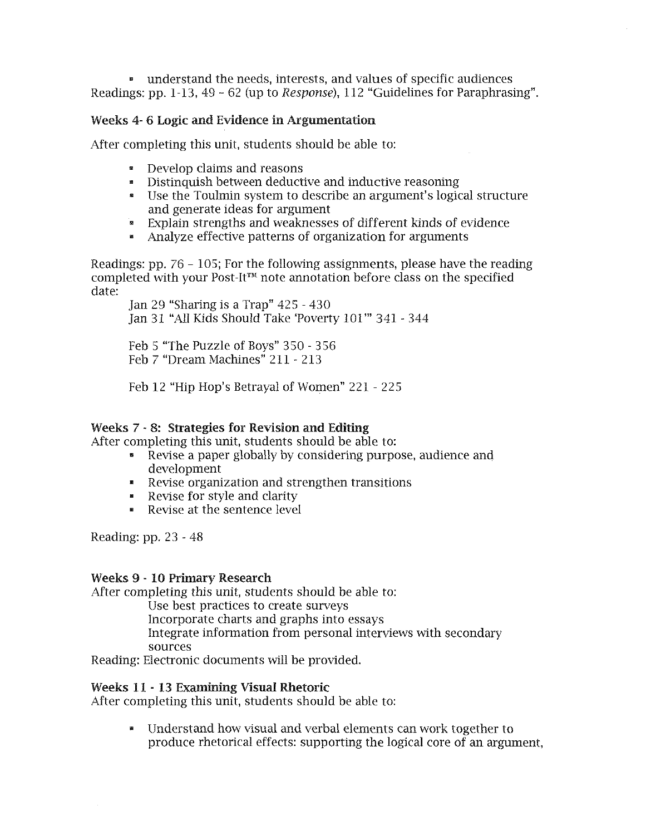• understand the needs, interests, and values of specific audiences Readings: pp. 1-13, 49 - 62 (up to Response), 112 "Guidelines for Paraphrasing".

#### Weeks 4- 6 Logic and Evidence in Argumentation

After completing this unit, students should be able to:

- Develop claims and reasons
- Distinquish between deductive and inductive reasoning
- Use the Toulmin system to describe an argument's logical structure and generate ideas for argument
- Explain strengths and weaknesses of different kinds of evidence
- Analyze effective patterns of organization for arguments

Readings: pp. 76 - 105; For the following assignments, please have the reading completed with your Post-It™ note annotation before class on the specified date:

Jan 29 "Sharing is a Trap" 425 - 430 Jan 31 "All Kids Should Take 'Poverty 101"' 341 - 344

Feb 5 "The Puzzle of Boys" 3 50 - 3 56 Feb 7 "Dream Machines" 211 - 213

Feb 12 "Hip Hop's Betrayal of Women" 221 - 225

#### Weeks 7 - 8: Strategies for Revision and Editing

After completing this unit, students should be able to:

- Revise a paper globally by considering purpose, audience and development
- Revise organization and strengthen transitions
- Revise for style and clarity
- Revise at the sentence level

Reading: pp. 23 - 48

#### Weeks 9 - 10 Primary Research

After completing this unit, students should be able to:

Use best practices to create surveys

Incorporate charts and graphs into essays

Integrate information from personal interviews with secondary sources

Reading: Electronic documents will be provided.

#### Weeks 11 - 13 Examining Visual Rhetoric

After completing this unit, students should be able to:

• Understand how visual and verbal elements can work together to produce rhetorical effects: supporting the logical core of an argument,